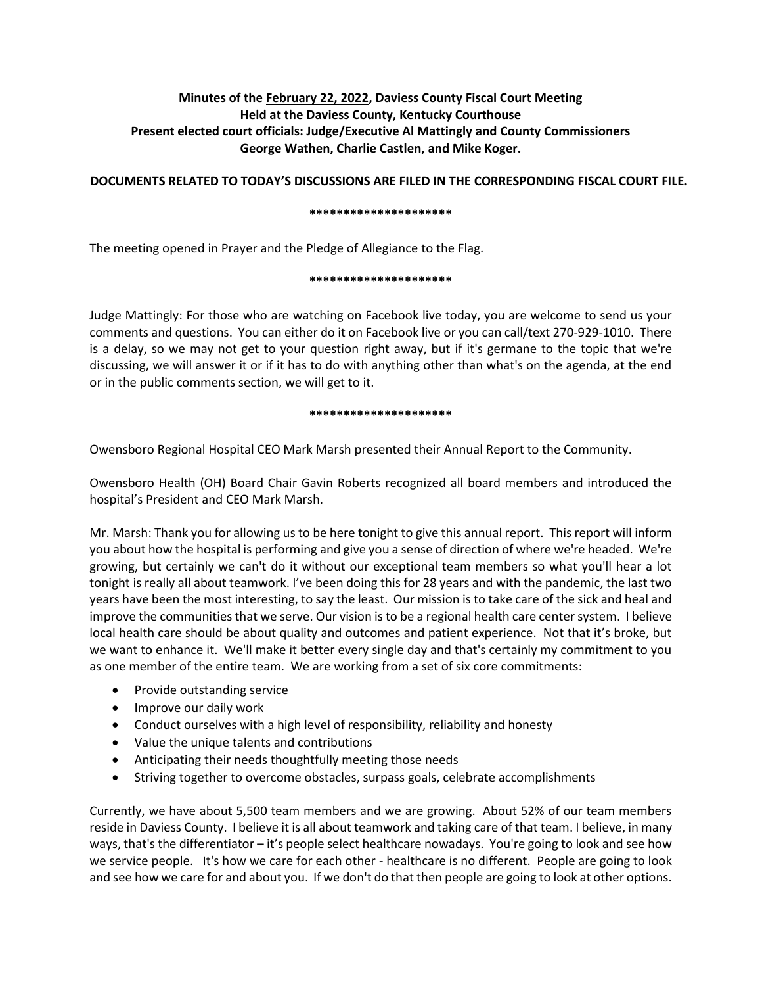# **Minutes of the February 22, 2022, Daviess County Fiscal Court Meeting Held at the Daviess County, Kentucky Courthouse Present elected court officials: Judge/Executive Al Mattingly and County Commissioners George Wathen, Charlie Castlen, and Mike Koger.**

# **DOCUMENTS RELATED TO TODAY'S DISCUSSIONS ARE FILED IN THE CORRESPONDING FISCAL COURT FILE.**

#### **\*\*\*\*\*\*\*\*\*\*\*\*\*\*\*\*\*\*\*\*\***

The meeting opened in Prayer and the Pledge of Allegiance to the Flag.

#### **\*\*\*\*\*\*\*\*\*\*\*\*\*\*\*\*\*\*\*\*\***

Judge Mattingly: For those who are watching on Facebook live today, you are welcome to send us your comments and questions. You can either do it on Facebook live or you can call/text 270-929-1010. There is a delay, so we may not get to your question right away, but if it's germane to the topic that we're discussing, we will answer it or if it has to do with anything other than what's on the agenda, at the end or in the public comments section, we will get to it.

#### **\*\*\*\*\*\*\*\*\*\*\*\*\*\*\*\*\*\*\*\*\***

Owensboro Regional Hospital CEO Mark Marsh presented their Annual Report to the Community.

Owensboro Health (OH) Board Chair Gavin Roberts recognized all board members and introduced the hospital's President and CEO Mark Marsh.

Mr. Marsh: Thank you for allowing us to be here tonight to give this annual report. This report will inform you about how the hospital is performing and give you a sense of direction of where we're headed. We're growing, but certainly we can't do it without our exceptional team members so what you'll hear a lot tonight is really all about teamwork. I've been doing this for 28 years and with the pandemic, the last two years have been the most interesting, to say the least. Our mission is to take care of the sick and heal and improve the communities that we serve. Our vision is to be a regional health care center system. I believe local health care should be about quality and outcomes and patient experience. Not that it's broke, but we want to enhance it. We'll make it better every single day and that's certainly my commitment to you as one member of the entire team. We are working from a set of six core commitments:

- Provide outstanding service
- Improve our daily work
- Conduct ourselves with a high level of responsibility, reliability and honesty
- Value the unique talents and contributions
- Anticipating their needs thoughtfully meeting those needs
- Striving together to overcome obstacles, surpass goals, celebrate accomplishments

Currently, we have about 5,500 team members and we are growing. About 52% of our team members reside in Daviess County. I believe it is all about teamwork and taking care of that team. I believe, in many ways, that's the differentiator – it's people select healthcare nowadays. You're going to look and see how we service people. It's how we care for each other - healthcare is no different. People are going to look and see how we care for and about you. If we don't do that then people are going to look at other options.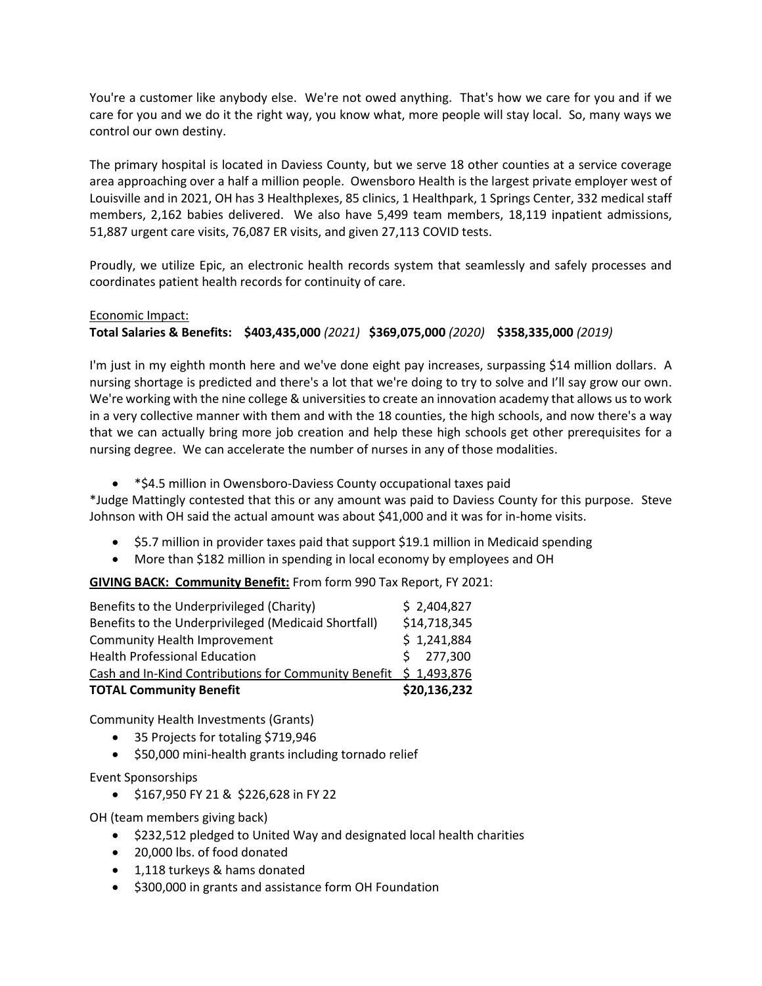You're a customer like anybody else. We're not owed anything. That's how we care for you and if we care for you and we do it the right way, you know what, more people will stay local. So, many ways we control our own destiny.

The primary hospital is located in Daviess County, but we serve 18 other counties at a service coverage area approaching over a half a million people. Owensboro Health is the largest private employer west of Louisville and in 2021, OH has 3 Healthplexes, 85 clinics, 1 Healthpark, 1 Springs Center, 332 medical staff members, 2,162 babies delivered. We also have 5,499 team members, 18,119 inpatient admissions, 51,887 urgent care visits, 76,087 ER visits, and given 27,113 COVID tests.

Proudly, we utilize Epic, an electronic health records system that seamlessly and safely processes and coordinates patient health records for continuity of care.

# Economic Impact:

# **Total Salaries & Benefits: \$403,435,000** *(2021)* **\$369,075,000** *(2020)* **\$358,335,000** *(2019)*

I'm just in my eighth month here and we've done eight pay increases, surpassing \$14 million dollars. A nursing shortage is predicted and there's a lot that we're doing to try to solve and I'll say grow our own. We're working with the nine college & universities to create an innovation academy that allows us to work in a very collective manner with them and with the 18 counties, the high schools, and now there's a way that we can actually bring more job creation and help these high schools get other prerequisites for a nursing degree. We can accelerate the number of nurses in any of those modalities.

\*\$4.5 million in Owensboro-Daviess County occupational taxes paid

\*Judge Mattingly contested that this or any amount was paid to Daviess County for this purpose. Steve Johnson with OH said the actual amount was about \$41,000 and it was for in-home visits.

- \$5.7 million in provider taxes paid that support \$19.1 million in Medicaid spending
- More than \$182 million in spending in local economy by employees and OH

**GIVING BACK: Community Benefit:** From form 990 Tax Report, FY 2021:

| <b>TOTAL Community Benefit</b>                                    | \$20,136,232 |
|-------------------------------------------------------------------|--------------|
| Cash and In-Kind Contributions for Community Benefit \$ 1,493,876 |              |
| <b>Health Professional Education</b>                              | \$277,300    |
| <b>Community Health Improvement</b>                               | \$1,241,884  |
| Benefits to the Underprivileged (Medicaid Shortfall)              | \$14,718,345 |
| Benefits to the Underprivileged (Charity)                         | \$2,404,827  |

Community Health Investments (Grants)

- 35 Projects for totaling \$719,946
- $\bullet$  \$50,000 mini-health grants including tornado relief

Event Sponsorships

\$167,950 FY 21 & \$226,628 in FY 22

OH (team members giving back)

- \$232,512 pledged to United Way and designated local health charities
- 20,000 lbs. of food donated
- 1,118 turkeys & hams donated
- \$300,000 in grants and assistance form OH Foundation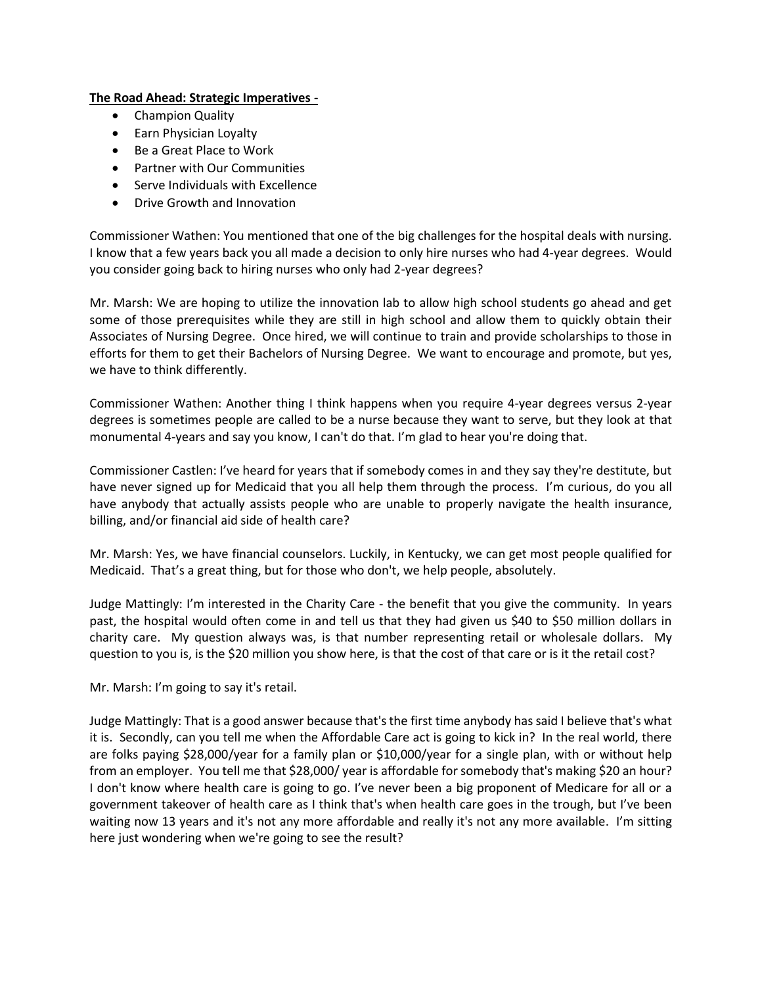# **The Road Ahead: Strategic Imperatives -**

- Champion Quality
- Earn Physician Loyalty
- Be a Great Place to Work
- Partner with Our Communities
- Serve Individuals with Excellence
- Drive Growth and Innovation

Commissioner Wathen: You mentioned that one of the big challenges for the hospital deals with nursing. I know that a few years back you all made a decision to only hire nurses who had 4-year degrees. Would you consider going back to hiring nurses who only had 2-year degrees?

Mr. Marsh: We are hoping to utilize the innovation lab to allow high school students go ahead and get some of those prerequisites while they are still in high school and allow them to quickly obtain their Associates of Nursing Degree. Once hired, we will continue to train and provide scholarships to those in efforts for them to get their Bachelors of Nursing Degree. We want to encourage and promote, but yes, we have to think differently.

Commissioner Wathen: Another thing I think happens when you require 4-year degrees versus 2-year degrees is sometimes people are called to be a nurse because they want to serve, but they look at that monumental 4-years and say you know, I can't do that. I'm glad to hear you're doing that.

Commissioner Castlen: I've heard for years that if somebody comes in and they say they're destitute, but have never signed up for Medicaid that you all help them through the process. I'm curious, do you all have anybody that actually assists people who are unable to properly navigate the health insurance, billing, and/or financial aid side of health care?

Mr. Marsh: Yes, we have financial counselors. Luckily, in Kentucky, we can get most people qualified for Medicaid. That's a great thing, but for those who don't, we help people, absolutely.

Judge Mattingly: I'm interested in the Charity Care - the benefit that you give the community. In years past, the hospital would often come in and tell us that they had given us \$40 to \$50 million dollars in charity care. My question always was, is that number representing retail or wholesale dollars. My question to you is, is the \$20 million you show here, is that the cost of that care or is it the retail cost?

Mr. Marsh: I'm going to say it's retail.

Judge Mattingly: That is a good answer because that's the first time anybody has said I believe that's what it is. Secondly, can you tell me when the Affordable Care act is going to kick in? In the real world, there are folks paying \$28,000/year for a family plan or \$10,000/year for a single plan, with or without help from an employer. You tell me that \$28,000/ year is affordable for somebody that's making \$20 an hour? I don't know where health care is going to go. I've never been a big proponent of Medicare for all or a government takeover of health care as I think that's when health care goes in the trough, but I've been waiting now 13 years and it's not any more affordable and really it's not any more available. I'm sitting here just wondering when we're going to see the result?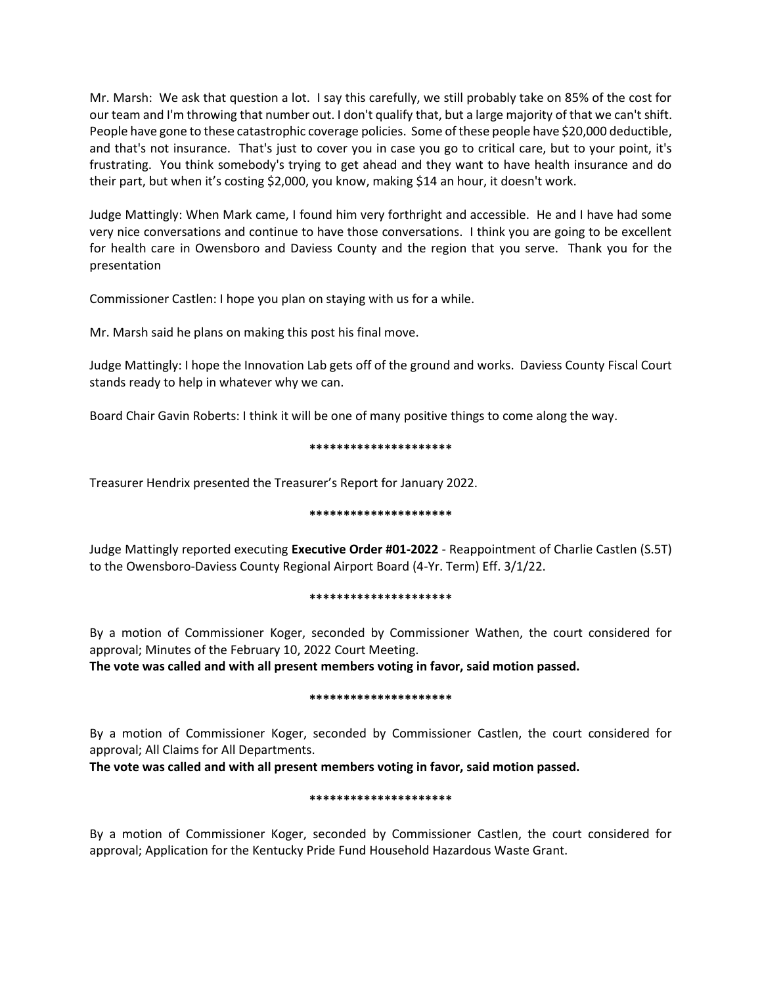Mr. Marsh: We ask that question a lot. I say this carefully, we still probably take on 85% of the cost for our team and I'm throwing that number out. I don't qualify that, but a large majority of that we can't shift. People have gone to these catastrophic coverage policies. Some of these people have \$20,000 deductible, and that's not insurance. That's just to cover you in case you go to critical care, but to your point, it's frustrating. You think somebody's trying to get ahead and they want to have health insurance and do their part, but when it's costing \$2,000, you know, making \$14 an hour, it doesn't work.

Judge Mattingly: When Mark came, I found him very forthright and accessible. He and I have had some very nice conversations and continue to have those conversations. I think you are going to be excellent for health care in Owensboro and Daviess County and the region that you serve. Thank you for the presentation

Commissioner Castlen: I hope you plan on staying with us for a while.

Mr. Marsh said he plans on making this post his final move.

Judge Mattingly: I hope the Innovation Lab gets off of the ground and works. Daviess County Fiscal Court stands ready to help in whatever why we can.

Board Chair Gavin Roberts: I think it will be one of many positive things to come along the way.

#### **\*\*\*\*\*\*\*\*\*\*\*\*\*\*\*\*\*\*\*\*\***

Treasurer Hendrix presented the Treasurer's Report for January 2022.

#### **\*\*\*\*\*\*\*\*\*\*\*\*\*\*\*\*\*\*\*\*\***

Judge Mattingly reported executing **Executive Order #01-2022** - Reappointment of Charlie Castlen (S.5T) to the Owensboro-Daviess County Regional Airport Board (4-Yr. Term) Eff. 3/1/22.

#### **\*\*\*\*\*\*\*\*\*\*\*\*\*\*\*\*\*\*\*\*\***

By a motion of Commissioner Koger, seconded by Commissioner Wathen, the court considered for approval; Minutes of the February 10, 2022 Court Meeting.

**The vote was called and with all present members voting in favor, said motion passed.** 

#### **\*\*\*\*\*\*\*\*\*\*\*\*\*\*\*\*\*\*\*\*\***

By a motion of Commissioner Koger, seconded by Commissioner Castlen, the court considered for approval; All Claims for All Departments.

**The vote was called and with all present members voting in favor, said motion passed.** 

#### **\*\*\*\*\*\*\*\*\*\*\*\*\*\*\*\*\*\*\*\*\***

By a motion of Commissioner Koger, seconded by Commissioner Castlen, the court considered for approval; Application for the Kentucky Pride Fund Household Hazardous Waste Grant.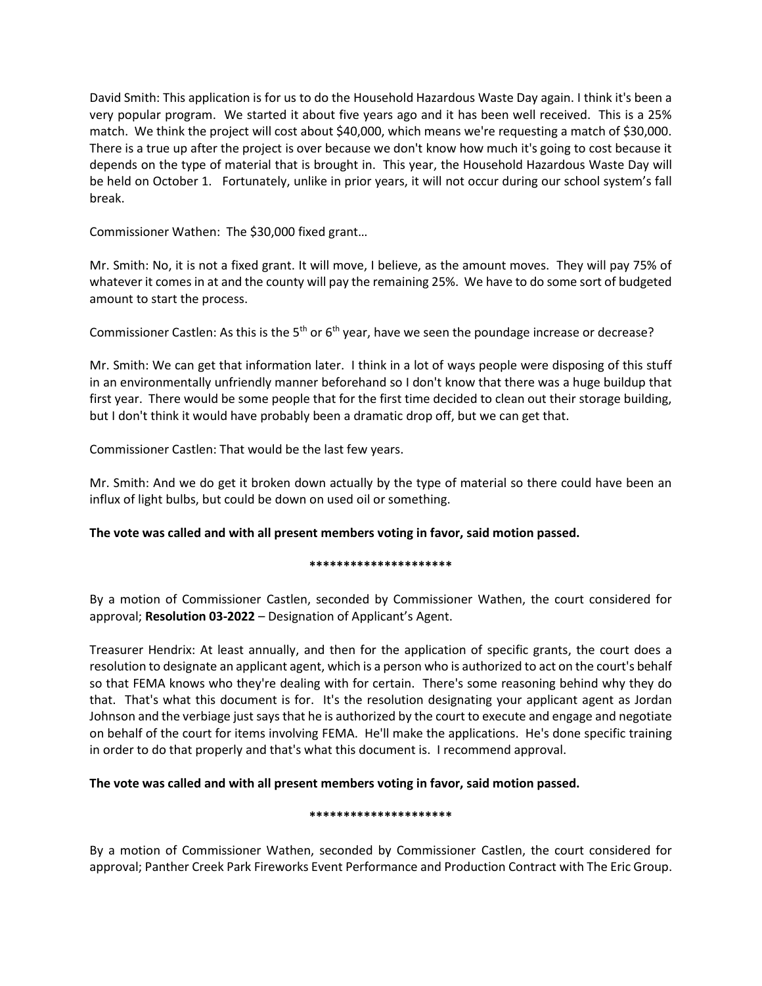David Smith: This application is for us to do the Household Hazardous Waste Day again. I think it's been a very popular program. We started it about five years ago and it has been well received. This is a 25% match. We think the project will cost about \$40,000, which means we're requesting a match of \$30,000. There is a true up after the project is over because we don't know how much it's going to cost because it depends on the type of material that is brought in. This year, the Household Hazardous Waste Day will be held on October 1. Fortunately, unlike in prior years, it will not occur during our school system's fall break.

Commissioner Wathen: The \$30,000 fixed grant…

Mr. Smith: No, it is not a fixed grant. It will move, I believe, as the amount moves. They will pay 75% of whatever it comes in at and the county will pay the remaining 25%. We have to do some sort of budgeted amount to start the process.

Commissioner Castlen: As this is the 5<sup>th</sup> or 6<sup>th</sup> year, have we seen the poundage increase or decrease?

Mr. Smith: We can get that information later. I think in a lot of ways people were disposing of this stuff in an environmentally unfriendly manner beforehand so I don't know that there was a huge buildup that first year. There would be some people that for the first time decided to clean out their storage building, but I don't think it would have probably been a dramatic drop off, but we can get that.

Commissioner Castlen: That would be the last few years.

Mr. Smith: And we do get it broken down actually by the type of material so there could have been an influx of light bulbs, but could be down on used oil or something.

# **The vote was called and with all present members voting in favor, said motion passed.**

# **\*\*\*\*\*\*\*\*\*\*\*\*\*\*\*\*\*\*\*\*\***

By a motion of Commissioner Castlen, seconded by Commissioner Wathen, the court considered for approval; **Resolution 03-2022** – Designation of Applicant's Agent.

Treasurer Hendrix: At least annually, and then for the application of specific grants, the court does a resolution to designate an applicant agent, which is a person who is authorized to act on the court's behalf so that FEMA knows who they're dealing with for certain. There's some reasoning behind why they do that. That's what this document is for. It's the resolution designating your applicant agent as Jordan Johnson and the verbiage just says that he is authorized by the court to execute and engage and negotiate on behalf of the court for items involving FEMA. He'll make the applications. He's done specific training in order to do that properly and that's what this document is. I recommend approval.

# **The vote was called and with all present members voting in favor, said motion passed.**

#### **\*\*\*\*\*\*\*\*\*\*\*\*\*\*\*\*\*\*\*\*\***

By a motion of Commissioner Wathen, seconded by Commissioner Castlen, the court considered for approval; Panther Creek Park Fireworks Event Performance and Production Contract with The Eric Group.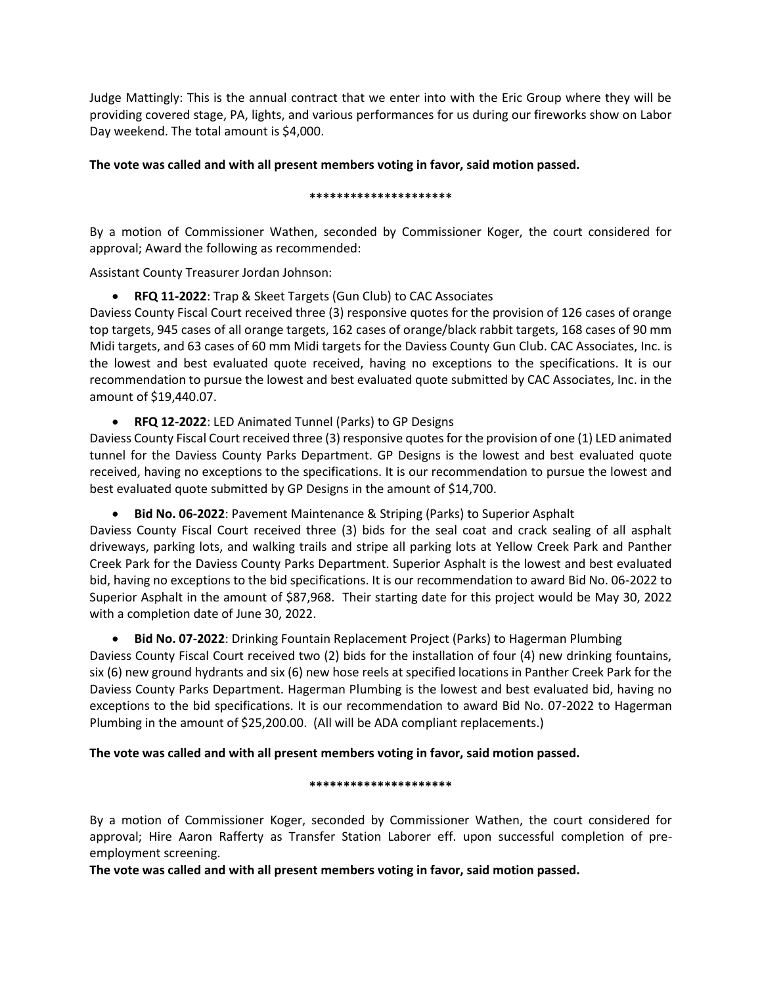Judge Mattingly: This is the annual contract that we enter into with the Eric Group where they will be providing covered stage, PA, lights, and various performances for us during our fireworks show on Labor Day weekend. The total amount is \$4,000.

# **The vote was called and with all present members voting in favor, said motion passed.**

#### **\*\*\*\*\*\*\*\*\*\*\*\*\*\*\*\*\*\*\*\*\***

By a motion of Commissioner Wathen, seconded by Commissioner Koger, the court considered for approval; Award the following as recommended:

Assistant County Treasurer Jordan Johnson:

**RFQ 11-2022**: Trap & Skeet Targets (Gun Club) to CAC Associates

Daviess County Fiscal Court received three (3) responsive quotes for the provision of 126 cases of orange top targets, 945 cases of all orange targets, 162 cases of orange/black rabbit targets, 168 cases of 90 mm Midi targets, and 63 cases of 60 mm Midi targets for the Daviess County Gun Club. CAC Associates, Inc. is the lowest and best evaluated quote received, having no exceptions to the specifications. It is our recommendation to pursue the lowest and best evaluated quote submitted by CAC Associates, Inc. in the amount of \$19,440.07.

**RFQ 12-2022**: LED Animated Tunnel (Parks) to GP Designs

Daviess County Fiscal Court received three (3) responsive quotes for the provision of one (1) LED animated tunnel for the Daviess County Parks Department. GP Designs is the lowest and best evaluated quote received, having no exceptions to the specifications. It is our recommendation to pursue the lowest and best evaluated quote submitted by GP Designs in the amount of \$14,700.

**Bid No. 06-2022**: Pavement Maintenance & Striping (Parks) to Superior Asphalt

Daviess County Fiscal Court received three (3) bids for the seal coat and crack sealing of all asphalt driveways, parking lots, and walking trails and stripe all parking lots at Yellow Creek Park and Panther Creek Park for the Daviess County Parks Department. Superior Asphalt is the lowest and best evaluated bid, having no exceptions to the bid specifications. It is our recommendation to award Bid No. 06-2022 to Superior Asphalt in the amount of \$87,968. Their starting date for this project would be May 30, 2022 with a completion date of June 30, 2022.

# **Bid No. 07-2022**: Drinking Fountain Replacement Project (Parks) to Hagerman Plumbing

Daviess County Fiscal Court received two (2) bids for the installation of four (4) new drinking fountains, six (6) new ground hydrants and six (6) new hose reels at specified locations in Panther Creek Park for the Daviess County Parks Department. Hagerman Plumbing is the lowest and best evaluated bid, having no exceptions to the bid specifications. It is our recommendation to award Bid No. 07-2022 to Hagerman Plumbing in the amount of \$25,200.00. (All will be ADA compliant replacements.)

# **The vote was called and with all present members voting in favor, said motion passed.**

#### **\*\*\*\*\*\*\*\*\*\*\*\*\*\*\*\*\*\*\*\*\***

By a motion of Commissioner Koger, seconded by Commissioner Wathen, the court considered for approval; Hire Aaron Rafferty as Transfer Station Laborer eff. upon successful completion of preemployment screening.

**The vote was called and with all present members voting in favor, said motion passed.**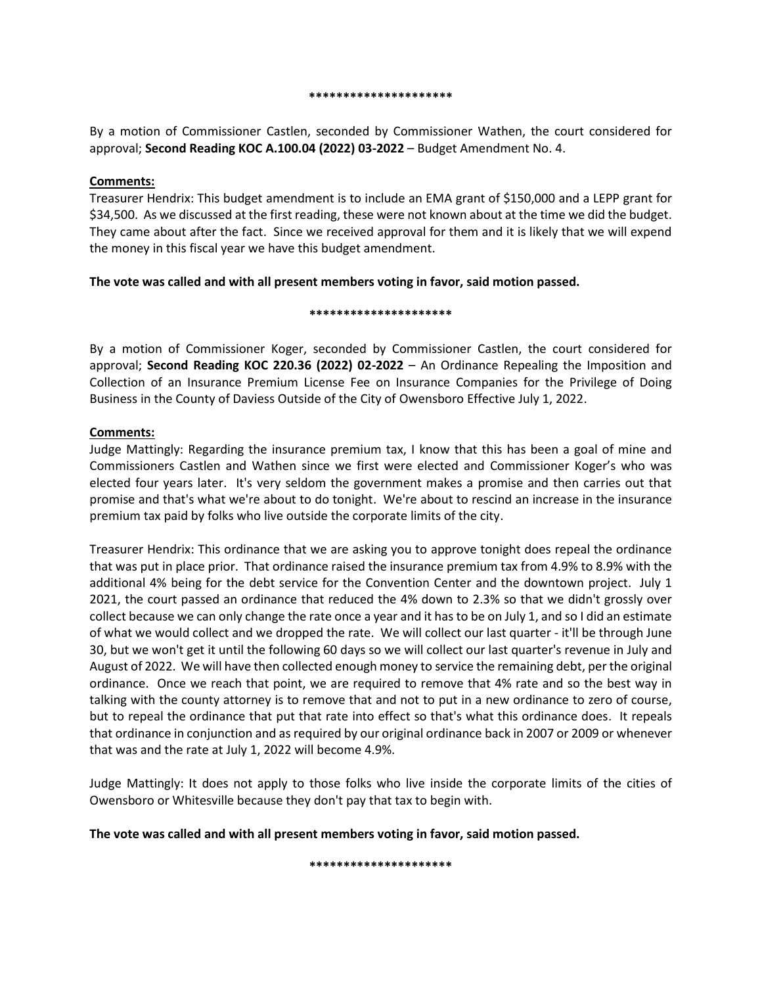#### **\*\*\*\*\*\*\*\*\*\*\*\*\*\*\*\*\*\*\*\*\***

By a motion of Commissioner Castlen, seconded by Commissioner Wathen, the court considered for approval; **Second Reading KOC A.100.04 (2022) 03-2022** – Budget Amendment No. 4.

#### **Comments:**

Treasurer Hendrix: This budget amendment is to include an EMA grant of \$150,000 and a LEPP grant for \$34,500. As we discussed at the first reading, these were not known about at the time we did the budget. They came about after the fact. Since we received approval for them and it is likely that we will expend the money in this fiscal year we have this budget amendment.

# **The vote was called and with all present members voting in favor, said motion passed.**

#### **\*\*\*\*\*\*\*\*\*\*\*\*\*\*\*\*\*\*\*\*\***

By a motion of Commissioner Koger, seconded by Commissioner Castlen, the court considered for approval; **Second Reading KOC 220.36 (2022) 02-2022** – An Ordinance Repealing the Imposition and Collection of an Insurance Premium License Fee on Insurance Companies for the Privilege of Doing Business in the County of Daviess Outside of the City of Owensboro Effective July 1, 2022.

#### **Comments:**

Judge Mattingly: Regarding the insurance premium tax, I know that this has been a goal of mine and Commissioners Castlen and Wathen since we first were elected and Commissioner Koger's who was elected four years later. It's very seldom the government makes a promise and then carries out that promise and that's what we're about to do tonight. We're about to rescind an increase in the insurance premium tax paid by folks who live outside the corporate limits of the city.

Treasurer Hendrix: This ordinance that we are asking you to approve tonight does repeal the ordinance that was put in place prior. That ordinance raised the insurance premium tax from 4.9% to 8.9% with the additional 4% being for the debt service for the Convention Center and the downtown project. July 1 2021, the court passed an ordinance that reduced the 4% down to 2.3% so that we didn't grossly over collect because we can only change the rate once a year and it has to be on July 1, and so I did an estimate of what we would collect and we dropped the rate. We will collect our last quarter - it'll be through June 30, but we won't get it until the following 60 days so we will collect our last quarter's revenue in July and August of 2022. We will have then collected enough money to service the remaining debt, per the original ordinance. Once we reach that point, we are required to remove that 4% rate and so the best way in talking with the county attorney is to remove that and not to put in a new ordinance to zero of course, but to repeal the ordinance that put that rate into effect so that's what this ordinance does. It repeals that ordinance in conjunction and as required by our original ordinance back in 2007 or 2009 or whenever that was and the rate at July 1, 2022 will become 4.9%.

Judge Mattingly: It does not apply to those folks who live inside the corporate limits of the cities of Owensboro or Whitesville because they don't pay that tax to begin with.

**The vote was called and with all present members voting in favor, said motion passed.**

**\*\*\*\*\*\*\*\*\*\*\*\*\*\*\*\*\*\*\*\*\***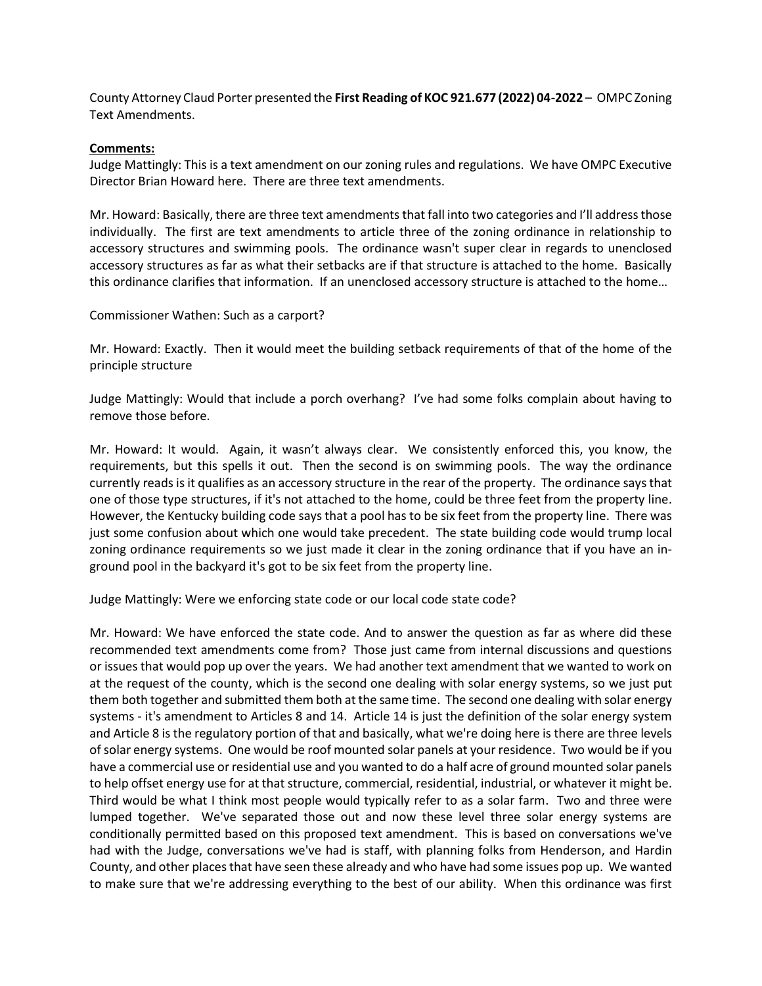County Attorney Claud Porter presented the **First Reading of KOC 921.677 (2022) 04-2022** – OMPC Zoning Text Amendments.

#### **Comments:**

Judge Mattingly: This is a text amendment on our zoning rules and regulations. We have OMPC Executive Director Brian Howard here. There are three text amendments.

Mr. Howard: Basically, there are three text amendments that fall into two categories and I'll address those individually. The first are text amendments to article three of the zoning ordinance in relationship to accessory structures and swimming pools. The ordinance wasn't super clear in regards to unenclosed accessory structures as far as what their setbacks are if that structure is attached to the home. Basically this ordinance clarifies that information. If an unenclosed accessory structure is attached to the home…

Commissioner Wathen: Such as a carport?

Mr. Howard: Exactly. Then it would meet the building setback requirements of that of the home of the principle structure

Judge Mattingly: Would that include a porch overhang? I've had some folks complain about having to remove those before.

Mr. Howard: It would. Again, it wasn't always clear. We consistently enforced this, you know, the requirements, but this spells it out. Then the second is on swimming pools. The way the ordinance currently reads is it qualifies as an accessory structure in the rear of the property. The ordinance says that one of those type structures, if it's not attached to the home, could be three feet from the property line. However, the Kentucky building code says that a pool has to be six feet from the property line. There was just some confusion about which one would take precedent. The state building code would trump local zoning ordinance requirements so we just made it clear in the zoning ordinance that if you have an inground pool in the backyard it's got to be six feet from the property line.

Judge Mattingly: Were we enforcing state code or our local code state code?

Mr. Howard: We have enforced the state code. And to answer the question as far as where did these recommended text amendments come from? Those just came from internal discussions and questions or issues that would pop up over the years. We had another text amendment that we wanted to work on at the request of the county, which is the second one dealing with solar energy systems, so we just put them both together and submitted them both at the same time. The second one dealing with solar energy systems - it's amendment to Articles 8 and 14. Article 14 is just the definition of the solar energy system and Article 8 is the regulatory portion of that and basically, what we're doing here is there are three levels of solar energy systems. One would be roof mounted solar panels at your residence. Two would be if you have a commercial use or residential use and you wanted to do a half acre of ground mounted solar panels to help offset energy use for at that structure, commercial, residential, industrial, or whatever it might be. Third would be what I think most people would typically refer to as a solar farm. Two and three were lumped together. We've separated those out and now these level three solar energy systems are conditionally permitted based on this proposed text amendment. This is based on conversations we've had with the Judge, conversations we've had is staff, with planning folks from Henderson, and Hardin County, and other places that have seen these already and who have had some issues pop up. We wanted to make sure that we're addressing everything to the best of our ability. When this ordinance was first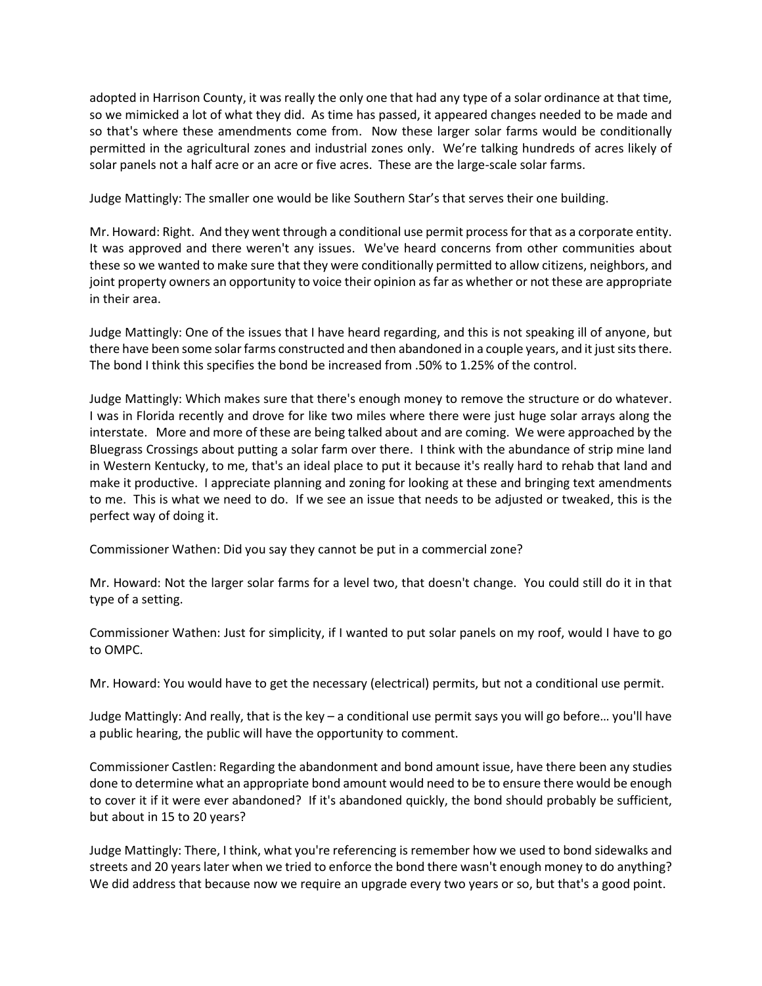adopted in Harrison County, it was really the only one that had any type of a solar ordinance at that time, so we mimicked a lot of what they did. As time has passed, it appeared changes needed to be made and so that's where these amendments come from. Now these larger solar farms would be conditionally permitted in the agricultural zones and industrial zones only. We're talking hundreds of acres likely of solar panels not a half acre or an acre or five acres. These are the large-scale solar farms.

Judge Mattingly: The smaller one would be like Southern Star's that serves their one building.

Mr. Howard: Right. And they went through a conditional use permit process for that as a corporate entity. It was approved and there weren't any issues. We've heard concerns from other communities about these so we wanted to make sure that they were conditionally permitted to allow citizens, neighbors, and joint property owners an opportunity to voice their opinion as far as whether or not these are appropriate in their area.

Judge Mattingly: One of the issues that I have heard regarding, and this is not speaking ill of anyone, but there have been some solar farms constructed and then abandoned in a couple years, and it just sits there. The bond I think this specifies the bond be increased from .50% to 1.25% of the control.

Judge Mattingly: Which makes sure that there's enough money to remove the structure or do whatever. I was in Florida recently and drove for like two miles where there were just huge solar arrays along the interstate. More and more of these are being talked about and are coming. We were approached by the Bluegrass Crossings about putting a solar farm over there. I think with the abundance of strip mine land in Western Kentucky, to me, that's an ideal place to put it because it's really hard to rehab that land and make it productive. I appreciate planning and zoning for looking at these and bringing text amendments to me. This is what we need to do. If we see an issue that needs to be adjusted or tweaked, this is the perfect way of doing it.

Commissioner Wathen: Did you say they cannot be put in a commercial zone?

Mr. Howard: Not the larger solar farms for a level two, that doesn't change. You could still do it in that type of a setting.

Commissioner Wathen: Just for simplicity, if I wanted to put solar panels on my roof, would I have to go to OMPC.

Mr. Howard: You would have to get the necessary (electrical) permits, but not a conditional use permit.

Judge Mattingly: And really, that is the key – a conditional use permit says you will go before… you'll have a public hearing, the public will have the opportunity to comment.

Commissioner Castlen: Regarding the abandonment and bond amount issue, have there been any studies done to determine what an appropriate bond amount would need to be to ensure there would be enough to cover it if it were ever abandoned? If it's abandoned quickly, the bond should probably be sufficient, but about in 15 to 20 years?

Judge Mattingly: There, I think, what you're referencing is remember how we used to bond sidewalks and streets and 20 years later when we tried to enforce the bond there wasn't enough money to do anything? We did address that because now we require an upgrade every two years or so, but that's a good point.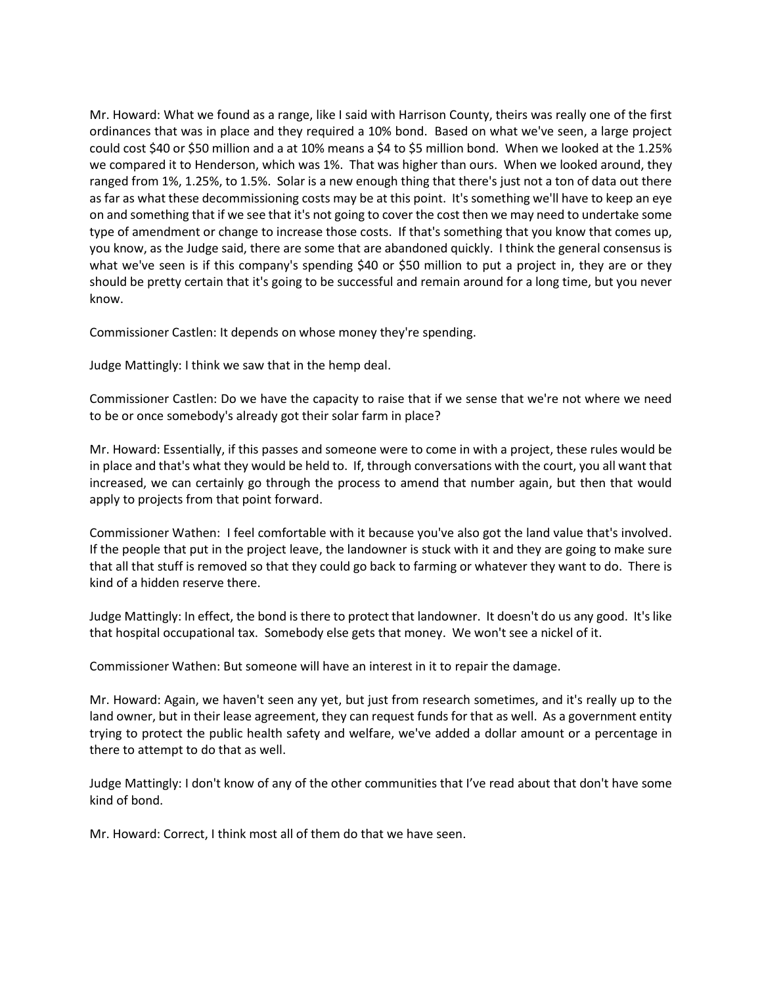Mr. Howard: What we found as a range, like I said with Harrison County, theirs was really one of the first ordinances that was in place and they required a 10% bond. Based on what we've seen, a large project could cost \$40 or \$50 million and a at 10% means a \$4 to \$5 million bond. When we looked at the 1.25% we compared it to Henderson, which was 1%. That was higher than ours. When we looked around, they ranged from 1%, 1.25%, to 1.5%. Solar is a new enough thing that there's just not a ton of data out there as far as what these decommissioning costs may be at this point. It's something we'll have to keep an eye on and something that if we see that it's not going to cover the cost then we may need to undertake some type of amendment or change to increase those costs. If that's something that you know that comes up, you know, as the Judge said, there are some that are abandoned quickly. I think the general consensus is what we've seen is if this company's spending \$40 or \$50 million to put a project in, they are or they should be pretty certain that it's going to be successful and remain around for a long time, but you never know.

Commissioner Castlen: It depends on whose money they're spending.

Judge Mattingly: I think we saw that in the hemp deal.

Commissioner Castlen: Do we have the capacity to raise that if we sense that we're not where we need to be or once somebody's already got their solar farm in place?

Mr. Howard: Essentially, if this passes and someone were to come in with a project, these rules would be in place and that's what they would be held to. If, through conversations with the court, you all want that increased, we can certainly go through the process to amend that number again, but then that would apply to projects from that point forward.

Commissioner Wathen: I feel comfortable with it because you've also got the land value that's involved. If the people that put in the project leave, the landowner is stuck with it and they are going to make sure that all that stuff is removed so that they could go back to farming or whatever they want to do. There is kind of a hidden reserve there.

Judge Mattingly: In effect, the bond is there to protect that landowner. It doesn't do us any good. It's like that hospital occupational tax. Somebody else gets that money. We won't see a nickel of it.

Commissioner Wathen: But someone will have an interest in it to repair the damage.

Mr. Howard: Again, we haven't seen any yet, but just from research sometimes, and it's really up to the land owner, but in their lease agreement, they can request funds for that as well. As a government entity trying to protect the public health safety and welfare, we've added a dollar amount or a percentage in there to attempt to do that as well.

Judge Mattingly: I don't know of any of the other communities that I've read about that don't have some kind of bond.

Mr. Howard: Correct, I think most all of them do that we have seen.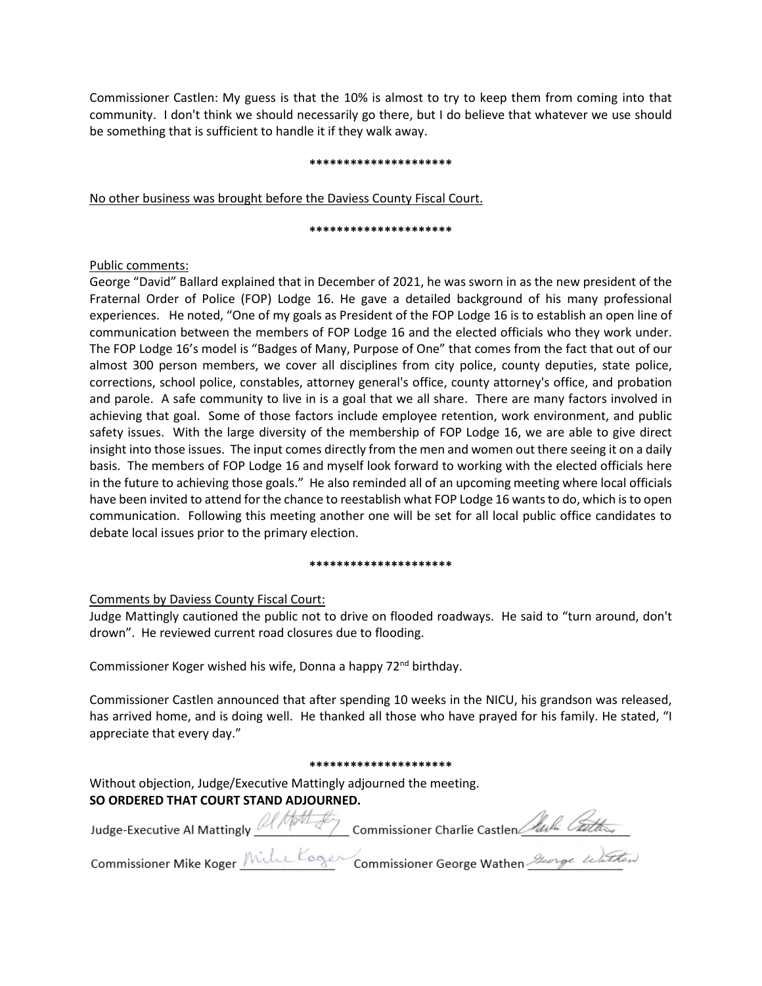Commissioner Castlen: My guess is that the 10% is almost to try to keep them from coming into that community. I don't think we should necessarily go there, but I do believe that whatever we use should be something that is sufficient to handle it if they walk away.

#### **\*\*\*\*\*\*\*\*\*\*\*\*\*\*\*\*\*\*\*\*\***

No other business was brought before the Daviess County Fiscal Court.

#### **\*\*\*\*\*\*\*\*\*\*\*\*\*\*\*\*\*\*\*\*\***

#### Public comments:

George "David" Ballard explained that in December of 2021, he was sworn in as the new president of the Fraternal Order of Police (FOP) Lodge 16. He gave a detailed background of his many professional experiences. He noted, "One of my goals as President of the FOP Lodge 16 is to establish an open line of communication between the members of FOP Lodge 16 and the elected officials who they work under. The FOP Lodge 16's model is "Badges of Many, Purpose of One" that comes from the fact that out of our almost 300 person members, we cover all disciplines from city police, county deputies, state police, corrections, school police, constables, attorney general's office, county attorney's office, and probation and parole. A safe community to live in is a goal that we all share. There are many factors involved in achieving that goal. Some of those factors include employee retention, work environment, and public safety issues. With the large diversity of the membership of FOP Lodge 16, we are able to give direct insight into those issues. The input comes directly from the men and women out there seeing it on a daily basis. The members of FOP Lodge 16 and myself look forward to working with the elected officials here in the future to achieving those goals." He also reminded all of an upcoming meeting where local officials have been invited to attend for the chance to reestablish what FOP Lodge 16 wants to do, which is to open communication. Following this meeting another one will be set for all local public office candidates to debate local issues prior to the primary election.

#### **\*\*\*\*\*\*\*\*\*\*\*\*\*\*\*\*\*\*\*\*\***

# Comments by Daviess County Fiscal Court:

Judge Mattingly cautioned the public not to drive on flooded roadways. He said to "turn around, don't drown". He reviewed current road closures due to flooding.

Commissioner Koger wished his wife, Donna a happy 72<sup>nd</sup> birthday.

Commissioner Castlen announced that after spending 10 weeks in the NICU, his grandson was released, has arrived home, and is doing well. He thanked all those who have prayed for his family. He stated, "I appreciate that every day."

#### **\*\*\*\*\*\*\*\*\*\*\*\*\*\*\*\*\*\*\*\*\***

Without objection, Judge/Executive Mattingly adjourned the meeting. **SO ORDERED THAT COURT STAND ADJOURNED.**

| Judge-Executive Al Mattingly 2 Marsh Commissioner Charlie Castlen Harla Callery |
|---------------------------------------------------------------------------------|
|                                                                                 |

Commissioner Mike Koger Mille Koger Commissioner George Wathen George Wathen

 $\Lambda$